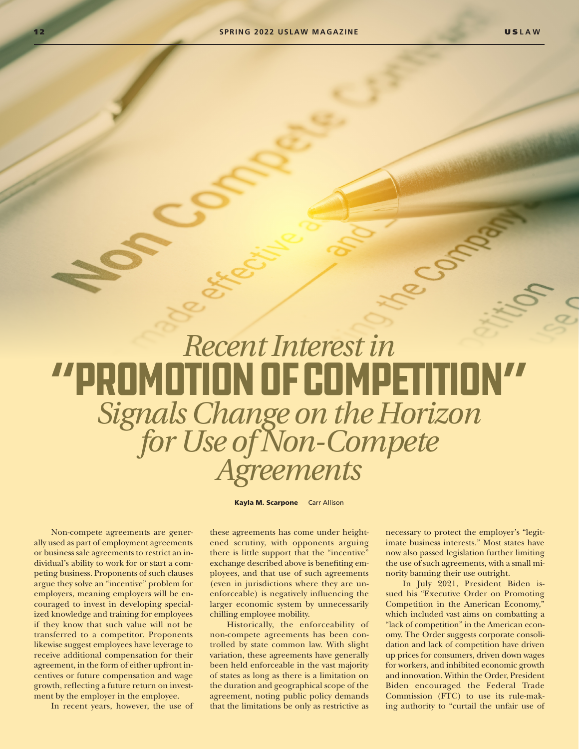## *Recent Interest in* "Promotion of Competition" *Signals Change on the Horizon for Use of Non-Compete Agreements*

Kayla M. Scarpone Carr Allison

Non-compete agreements are generally used as part of employment agreements or business sale agreements to restrict an individual's ability to work for or start a competing business. Proponents of such clauses argue they solve an "incentive" problem for employers, meaning employers will be encouraged to invest in developing specialized knowledge and training for employees if they know that such value will not be transferred to a competitor. Proponents likewise suggest employees have leverage to receive additional compensation for their agreement, in the form of either upfront incentives or future compensation and wage growth, reflecting a future return on investment by the employer in the employee.

In recent years, however, the use of

these agreements has come under heightened scrutiny, with opponents arguing there is little support that the "incentive" exchange described above is benefiting employees, and that use of such agreements (even in jurisdictions where they are unenforceable) is negatively influencing the larger economic system by unnecessarily chilling employee mobility.

Historically, the enforceability of non-compete agreements has been controlled by state common law. With slight variation, these agreements have generally been held enforceable in the vast majority of states as long as there is a limitation on the duration and geographical scope of the agreement, noting public policy demands that the limitations be only as restrictive as necessary to protect the employer's "legitimate business interests." Most states have now also passed legislation further limiting the use of such agreements, with a small minority banning their use outright.

COM

In July 2021, President Biden issued his "Executive Order on Promoting Competition in the American Economy," which included vast aims on combatting a "lack of competition" in the American economy. The Order suggests corporate consolidation and lack of competition have driven up prices for consumers, driven down wages for workers, and inhibited economic growth and innovation. Within the Order, President Biden encouraged the Federal Trade Commission (FTC) to use its rule-making authority to "curtail the unfair use of